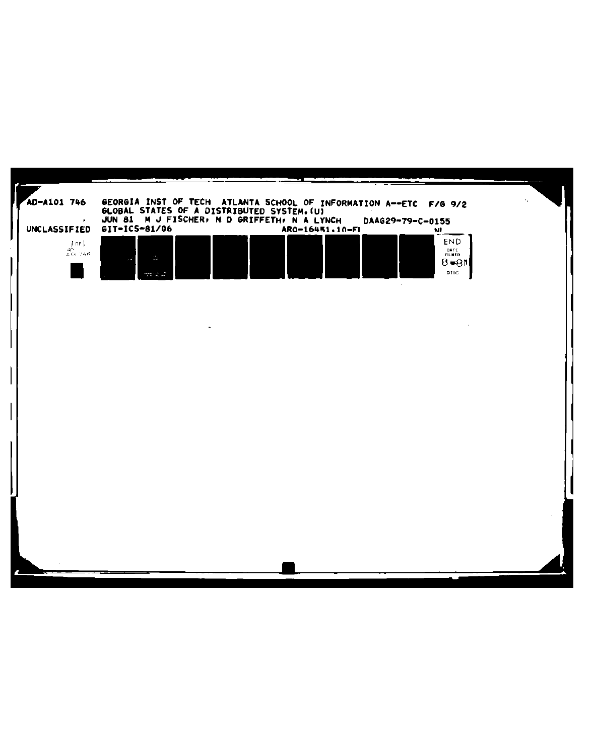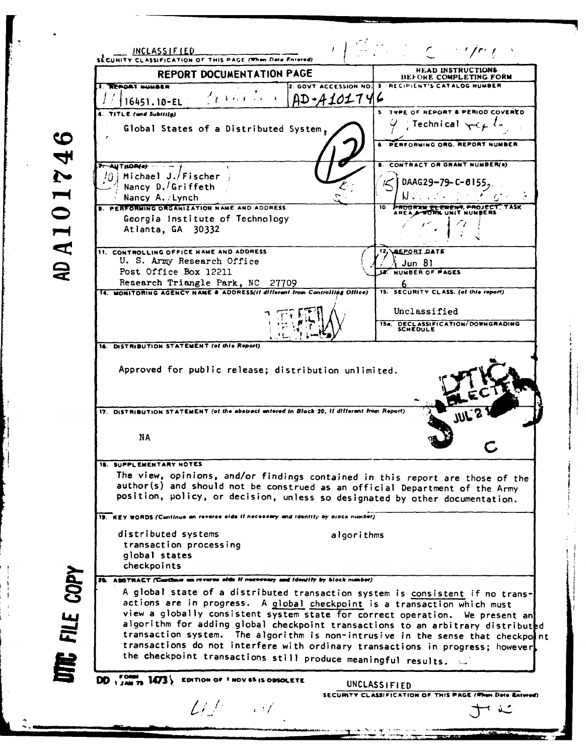**JNCLASS IF IED** SECUHITY CLASSIFICATION OF THIS PAGE (When Data Entered) **HEAD INSTRUCTIONS** REPORT DOCUMENTATION PAGE **BEFORE COMPLETING FORM . . <sup>i</sup>- NU** 2. **GOVT ACCESSION NO. 3 RECIPIENT'S CATALOG NUMBER** *I* **1 16** 4 5 **1. 10 -E L \_ 0" 1 5 4. TITLE (and Subtilaip) TYPE OF REPORT & PERIOD COVERED** Global States of a Distributed System,  $\bigcap_{\mathcal{A}}$  |  $\mathcal{A}$  | Technical  $\tau \in \mathcal{A}$  . THE TRIP (ANTIBORY)<br>
THE TRIP (D) Michael J./Fischer (D) Contract OR GRAMT HUMBER<br>
DRAG29-79-C-01555.<br>
Nancy D./Griffeth<br>
Nancy A./Lynch<br>
Ramy Research Office<br>
Controlling office<br>
D. S. Army Research Office<br>
Post Office Bo **6 PFERFORMING ORG. REPORT NUMBER TOM BERG** BELOW THE STATE OF GRANT NUMBER(s) Nancy D./Griffeth Nancy A. Lynch<br> **VARIONAL CONSTANTS AND ADDRESS 9. PERFORMING ORGANIZATION NAME AND ADDRESS 10. PROGRAM TO PROGRAM TO BUILDERS** Georgia Institute of Technology Atlanta, GA **30332 11. CONTROLLING OFFICE NAME AND ADDRESS REPORT DATE** U. S. Army Research Office  $\begin{pmatrix} \sqrt{1} & 0 \\ 0 & \sqrt{1} & 0 \end{pmatrix}$  Jun 81 Post Office Box 12211 NUMBER OF PAGES Research Triangle Park, NC 27709 6<br> **CONITORING AGENCY NAME & ADDRESS(Il dillerent from Controlling Office)** 15. SECURITY CLASS. (of this report) **14. MONITORING AGENCY NAME & ADDRESS(if different from Controlling Office)** Unclassified **1Sa. DECLASSIFICATION/DOWNGRADING IS. DISTRIBUTION STATEMENT (of** *thia* **Report)** Approved for public release; distribution unlimited. **I. DISTRIBUTION STATEMENT (of the abstact** *entered in* **Block 20. If different from Report)** - **NA IS. SUPPLEMENTARY NOTES** The **view,** opinions, and/or findings contained in this report are those of the author(s) and should not be construed as an official Department of the Army position, policy, or decision, unless so designated **by** other documentation. **19. KEY WORDS** *(Cnlinue on* **re.erse** *aide* **It necee say and** *Identity* **oy oJoca** *inuober)* distributed systems algorithms transaction processing global states checkpoints **PA ABSTRACT (Certified as Provident of A** distributed transaction system is consistent if no trans-<br>actions are in progress. A global checkpoint is a transaction which must<br>view a globally consistent system state for corr **so. AYNrACT (tin0- - FOemm** *afif* **If** *necovem* **d fifeuvio** *by block* **rnmaber)** view a globally consistent system state for correct operation. We present an algorithm for adding global checkpoint transactions to an arbitrary distributed transaction system. The algorithm is non-intrusive in the sense that checkpoint transactions do not interfere with ordinary transactions in progress; however, the checkpoint transactions still produce meaningful results. **DD 1**5 **COFF EDITION OF 'NOV 65 IS OBSOLETE** UNCLASS IF IED **SECURITY CLASSIFICATION OF THIS PAGE (When Data Entered) ,** /7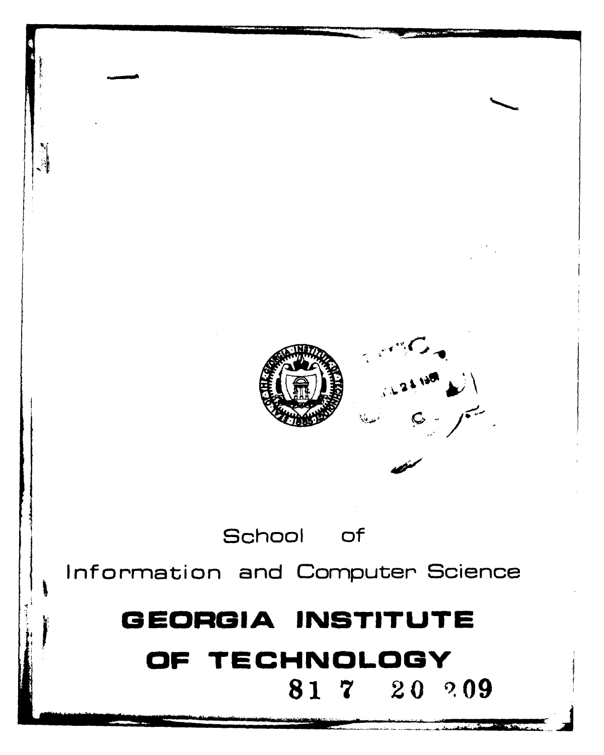# **GEORGIA INSTITUTE** OF **TECHNOLOGY 81 7** 20 20 **<u><b>v v v v v l** *s*</u>

Information and Computer Science

School **of**

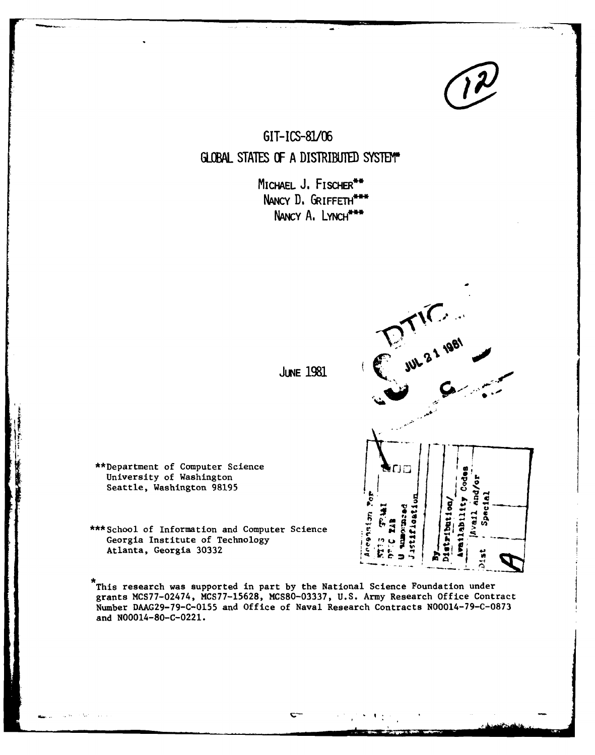

**S 31 1001** 

## **GIT-ICS-81/06 GLOBAL STATES OF A DISTRIBUTED SYSTEM\***

MICHAEL **J.** FIscHER\*\* NANCY D. GRIFFETH<sup>\*\*\*</sup> NANCY A. LYNCH<sup>\*\*\*</sup>

\*\*Department of Computer Science University of Washington Seattle, Washington 98195

University of Washington<br>
Seattle, Washington 98195<br>
\*\*\* School of Information and Computer Science<br>
Georgia Institute of Technology<br>
Atlanta. Georgia 30332 Georgia Institute of Technology Atlanta, Georgia 30332 **,**

This research was supported in part **by** the National Science Foundation under grants MCS77-02474, MCS77-15628, MCS80-03337, U.S. Army Research Office Contract<br>Number DAAG29-79-C-0155 and Office of Naval Research Contracts N00014-79-C-0873 and N00014-80-C-0221.

**' " :F..**

םמ

and/or  $Spec1a1$  $|h \vee a11|$ 

**JUNE 1981**

 $\sim$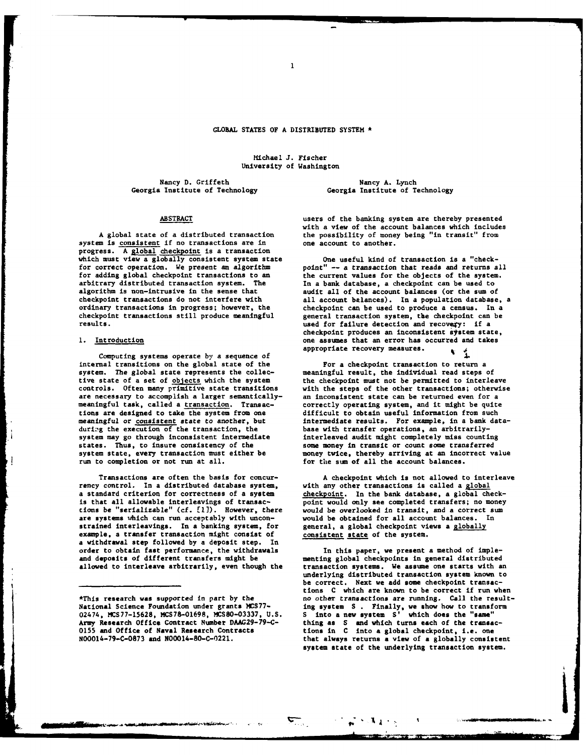### GLOBAL **STATES** OF **A** DISTRIBUTED SYSTEM **\***

 $\mathbf{1}$ 

Michael J. Fischer University of Washington

 $\tilde{a}$ 

Nancy **D.** Griffeth **Nancy A.** Lynch **Nancy A.** Lynch **Georgia** Institute of Technology **6.** Georgia Institute of Technology

Georgia Institute of Technology

system is consistent if no transactions are in one account to another. progress. **A** global checkpoint is a transaction which must view a globally consistent system state  $\qquad$  One useful kind of transaction is a "check-<br>for correct operation. We present an algorithm point" -- a transaction that reads and returns a for correct operation. We present an algorithm point" -- a transaction that reads and returns all<br>for adding global checkpoint transactions to an the current values for the objects of the system. for adding global checkpoint transactions to an the current values for the objects of the system.<br>arbitrary distributed transaction system. The In a bank database, a checkpoint can be used to algorithm is non-intrusive in the sense that audit all of the account balances (or the sum of checkpoint transactions do not interfere with all account balances). In a population database ordinary transactions in progress; however, the checkpoint can be used to produce a census. In a checkpoint transactions still produce meaningful general transaction system, the checkpoint can be results. The contract of the contract of the contract of the contract of the contract of the contract of the contract of the contract of the contract of the contract of the contract of the contract of the contract of the c

Computing systems operate by a sequence of internal transitions on the global state of the internal transitions on the global state of the For a checkpoint transaction to return a system. The global state represents the collec- meaningful result, the individual read steps of tive state of a set of objects which the system the checkpoint must not be permitted to interleave are necessary to accomplish a larger semantically- an inconsistent state can be returned even for a meaningful task, called a transaction. Transac- correctly operating system, and it might be quite tions are designed to take the system from one difficult to obtain useful information from such meaningful or consistent state to another, but intermediate results. For example, in a bank dat during the execution of the transaction, the base with transfer operations, an arbitrarilysystem may go through inconsistent intermediate interleaved audit might completely miss counting states. Thus, to insure consistency of the some money in transit or count some transferred<br>system state, every transaction must either be money twice, thereby arriving at an incorrect ve

rency control. In a distributed database system, a standard criterion for correctness of a system checkpoint. In the bank database, a global check-<br>is that all allowable interleavings of transac-<br>point would only see completed transfers; no money tions be "serializable" (cf. **[I]).** However, there would be overlooked in transit, and a correct sum are systems which can run acceptably with uncon-<br>strained interleavings. In a banking system, for general, a global checkpoint views a globally strained interleavings. In a banking system, for general, a global checkpoint views example, a transfer transaction might consist of consistent state of the system. example, a transfer transaction might consist of a withdrawal step followed **by** a deposit step. In order to obtain fast performance, the withdrawals In this paper, we present a method of imple-<br>and deposits of different transfers might be menting global checkpoints in general distributed

ABSTRACT **ISSUE USER USER ASSESS** users of the banking system are thereby presented with a view of the account balances which includes A global state of a distributed transaction the possibility of money being "in transit" from

In a bank database, a checkpoint can be used to checkpoint transactions do not interfere with all account balances). In a population database, a<br>ordinary transactions in progress; however, the checkpoint can be used to produce a census. In a general transaction system, the checkpoint can be checkpoint produces an inconsistent system state, **1.** Introduction one assumes that an error has occurred and takes appropriate recovery measures.

controls. Often many primitive state transitions with the steps of the other transactions; otherwise intermediate results. For example, in a bank datasystem state, every transaction must either be money twice, thereby arriving at an incorrect value<br>run to completion or not run at all.<br>for the sum of all the account balances. for the sum of all the account balances.

Transactions are often the basis for concur-<br>
v control. In a distributed database system, with any other transactions is called a global point would only see completed transfers; no money

and deposits of different transfers might be menting global checkpoints in general distributed<br>allowed to interleave arbitrarily, even though the transaction systems. We assume one starts with a transaction systems. We assume one starts with an underlying distributed transaction system known to be correct. Next we add some checkpoint transactions **C** which are known to be correct if run when \*This research was supported **in** part **by** the no other transactions are running. Call the result-National Science Foundation under grants **MCS77-** ing system **S** . Finally, we show how to transform that always returns a view of a globally consistent system state of the underlying transaction system.

<sup>02474,</sup> **?CS77-15628, MCS78-01698, MCS80-03337, U.S. S** into a new system **S'** which does the **"same"** Army Research Office Contract Number DAAG29-79-C-0155 and Office of Naval Research Contracts **0155** and Office of Naval Research Contracts tions in C into **a** global checkpoint, i.e. **one**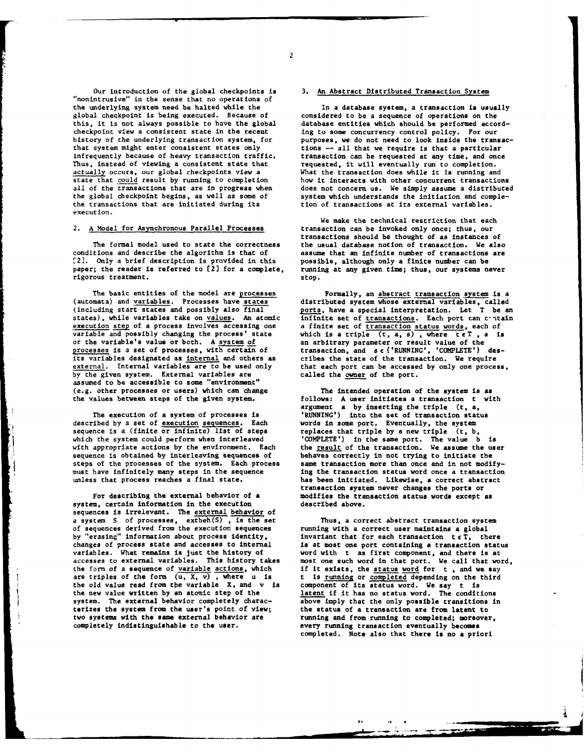Our introduction of the global checkpoints is **3.** An Abstract Distributed Transaction System "nonintrusive" in the sense that no operations of the underlying system need be halted while the In a database system, a transaction is usually global checkpoint is being executed. Because of considered to be a sequence of operations on the global checkpoint is being executed. Because of considered to be a sequence of operations on the<br>this, it is not always possible to have the global database entities which should be performed accom checkpoint view a consistent state in the recent ing to some concurrency control policy. For our history of the underlying transaction system, for purposes, we do not need to look inside the trans that system might enter consistent states only tions  $--$  all that we require is that a particular<br>infrequently because of heavy transaction traffic. transaction can be requested at any time, and once Thus, instead of viewing a consistent state that actually occurs, our global checkpoints view a actually occurs, our global checkpoints view a What the transaction does while it is running and<br>state that could result by running to completion bow it interacts with other concurrent transaction execution.

conditions and describe the algorithm is that of assume that an infinite number of transactions are **[2].** Only a brief description is provided in this **possible, although only a** finite **number can** be paper; the reader is referred to [2] for a complete, running at any given time; thus, our systems never rigorous treatment. Stop. In the stop. In the stop.

The basic entities of the model are processes Formally, an abstract transaction system is a<br>(automata) and variables. Processes have states distributed system whose external variables, called execution step of a process involves accessing one a finite set of transaction status words, each of variable and possibly changing the process' state which is a triple (t, a, s), where teT, a is variable and possibly changing the process' state which is a triple  $(t, a, s)$ , where  $t \in T$ , a is<br>or the variable's value or both. A system of an arbitrary parameter or result value of the or the variable's value or both. A system of an arbitrary parameter or result value of the processes is a set of processes, with certain of transaction, and  $s \in \{'RUNNNING', 'COMPLETE'\}$ its variables designated as internal and others as cribes the state of the transaction. We require by the given system. External variables are assumed to be accessible to some "environment" (e.g. other processes or users) which can change The intended operation of the system is as<br>the values between steps of the given system. Follows: A user initiates a transaction twi

described by a set of execution sequences. Each sequence is a (finite or infinite) list of steps sequence is a (finite or infinite) list of steps replaces that triple by a new triple (t, b, which the system could perform when interleaved 'COMPLETE') in the same port. The value b which the system could perform when interleaved 'COMPLETE') in the same port. The value **b** is with appropriate actions **by** the environment. Each the result of the transaction. We assume the user sequence is obtained by interleaving sequences of behaves correctly in not trying to initiate the<br>steps of the processes of the system. Each process same transaction more than once and in not modifysteps of the processes of the system. Each process<br>must have infinitely many steps in the sequence

system, certain information in the execution sequences is irrelevant. The external behavior of a system S of processes, extbeh(S), is the set Thus, a correct abstract transaction system<br>of sequences derived from the execution sequences running with a correct user maintains a global of sequences derived from the execution sequences<br>by "erasing" information about process identity, by "erasing" information about process identity, invariant that for each transaction  $t \in \tilde{T}$ , there changes of process state and accesses to internal is at most one port containing a transaction state the form of a sequence of variable actions, which are triples of the form  $(u, X, v)$ , where u is the old value read from the variable X, and v is the new value written by an atomic step of the latent if it has no status word. The conditions system. The external behavior completely charac-<br>the system from the user's point of view; the status of a transaction are from terizes the system from the user's point of view;<br>two systems with the same external behavior are completely indistinguishable to the user. every running transaction eventually becomes

this, it is not always possible to have the global database entities which should be performed accord-<br>checkpoint view a consistent state in the recent ing to some concurrency control policy. For our purposes, we do not need to look inside the transactransaction can be requested at any time, and once<br>requested, it will eventually run to completion. state that could result by running to completion how it interacts with other concurrent transactions<br>all of the transactions that are in progress when does not concern us. We simply assume a distribute all of the transactions that are in progress when does not concern us. We simply assume a distributed<br>the global checkpoint begins, as well as some of system which understands the initiation and complethe global checkpoint begins, as well as some of system which understands the initiation and comple-<br>the transactions that are initiated during its tion of transactions at its external variables. tion of transactions at its external variables.

We make the technical restriction that each 2. A Model for Asynchronous Parallel Processes transaction can be invoked only once; thus, our transactions should be thought of as instances of The formal model used to state the correctness is the usual database notion of transaction. We also<br>tions and describe the algorithm is that of it assume that an infinite number of transactions are

(automata) and variables. Processes have states distributed system whose external variables, called<br>(including start states and possibly also final ports, have a special interpretation. Let T be an (including start states and possibly also final ports, have a special interpretation. Let T be an states), while variables take on values. An atomic influite set of transactions. Each port can contain infinite set of transactions. Each port can contain  $transaction, and s \in {'RUNNING', 'COMPLETE'}$  desthat each port can be accessed by only one process, called the <u>owner</u> of the port.

follows: A user initiates a transaction t with argument a **by** inserting the triple **(t,** a, The execution of a system of processes is **'RUNNING')** into the set of transaction status must have infinitely many steps in the sequence ing the transaction status word once a transaction unless that<br>inless that process reaches a final state. Ins been initiated. Likewise, a correct abstract has been initiated. Likewise, a correct abstract transaction system never changes the ports or For describing the external behavior of a modifies the transaction status words except as<br>m. certain information in the execution described above.

changes of process state and accesses to internal is at most one port containing a transaction status<br>variables. What remains is just the history of word with t as first component, and there is at word with t as first component, and there is at accesses to external variables. This history takes most one such word in that port. We call that word, the form of a sequence of variable actions, which if it exists, the status word for t, and we say t is <u>running</u> or completed depending on the third component of its status word. We say t is running and from running to completed; moreover, completed. Note also that there **is** no **a** priori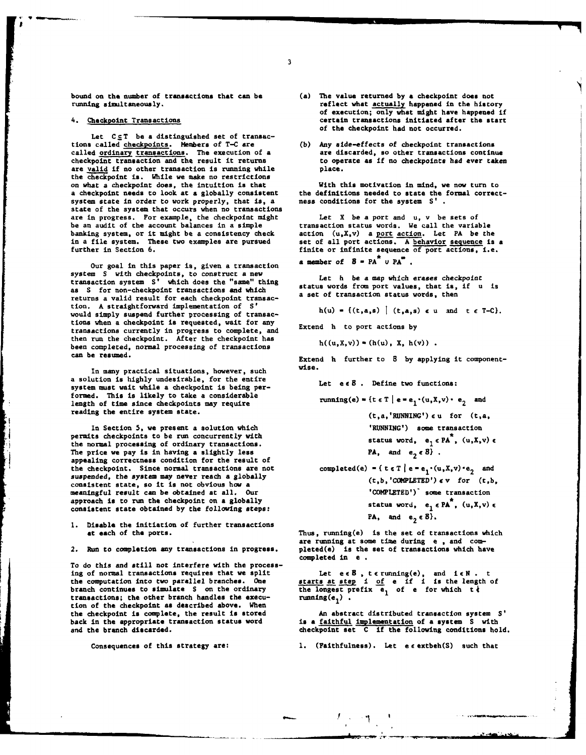Let  $C \subseteq T$  be a distinguished set of transac-<br>tions called checkpoints. Members of T-C are called <u>ordinary transactions</u>. The execution of a are discarded, so other transactions continue<br>
checkpoint transaction and the result it returns to operate as if no checkpoints had ever take are valid if no other transaction is running while the checkpoint is. While we make no restrictions on what a checkpoint does, the intuition is that With this motivation in mind, we now turn to a checkpoint needs to look at a globally consistent the definitions needed to state the formal correct system state in order to work properly, that is, a state of the system that occurs when no transactions are in progress. For example, the checkpoint might Let X be a port and u, v be sets of be an audit of the account balances in a simple transaction status words. We call the variable banking system, or it might be a consistency check action (u,Xv) a port action. Let **PA** be the in a file system. These two examples are pursued set of all port actions. **A** behavior sequence is a further in Section **6.** finite or infinite sequence of port actions, i.e.

Our goal in this paper is, given a transaction  $\overline{a}$  member of  $\overline{B}$  = PA<sup>\*</sup>  $\cup$  PA<sup>\*</sup>. system S with checkpoints, to construct a new Let h be a map which erases checkpoint transaction system **S'** which does the "same" thing status words from port values, that is, if u is as S for non-checkpoint transactions and which **status words from port values, that is,**<br>a set of transaction status words, then returns a valid result for each checkpoint transaction. **A** straightforward implementation of **S'** would simply suspend further processing of transactions when a checkpoint is requested, wait for any **Extend h** to **port actions by** transactions currently in progress to complete, and then run the checkpoint. After the checkpoint has  $h((u, X, v)) = (h(u), X, h(v))$ . been completed, normal processing of transactions

In many practical situations, however, such wise. a solution is highly undesirable, for the entire  $\qquad \qquad$  Let  $e \in B$ . Define two functions: system must wait while a checkpoint is being performed. This is likely to take a considerable running(e) =  $\{\mathbf{t} \in \mathbf{T} \mid \mathbf{e} = \mathbf{e}_1 \cdot (\mathbf{u}, \mathbf{X}, \mathbf{v}) \cdot \mathbf{e}_2\}$  and length of time since checknoints may require length of time since checkpoints may require reading the entire system state.<br>  $(t, a, 'RUNNING') \in u$  for  $(t, a, a')$ 

In Section **5,** we present a solution which **'RUNNING')** some transaction permits checkpoints to be run concurrently with  $\begin{array}{ccc}\n\text{the normal processing of ordinary transactions.} \\
\text{the normal processing of ordinary transactions.}\n\end{array}$ the normal processing of ordinary transactions.<br>The price we pay is in having a slightly less **ICA, and**  $e_2 \in B$  . The price we pay is in having a slightly less The price we pay is in having a slightly less appealing correctness condition for the result of the checkpoint. Since normal transactions are not suspended, the system may never reach a globally consistent state, so it is not obvious how a meaningful result can be obtained at all. Our approach is to run the checkpoint on a globally consistent state obtained by the following steps:

**i.** Disable the initiation of further transactions

2. Run to completion any transactions in progress.

To **do** this and still not interfere with the processing of normal transactions requires that we split Let eeB, terunning(e), and ieN. the computation into two parallel branches. One starts at step i of e if i is the length of **b**<br>branch continues to simulate S on the ordinary the longest prefix e, of e for which ta transactions; the other branch handles the execu- running( $e_1$ ). tion of the checkpoint as described above. When the checkpoint is complete, the result is stored An abstract distributed transaction system S<sup>'</sup><br>back in the appropriate transaction status word is a <u>faithful implementation</u> of a system S' with back in the appropriate transaction status word is **a** faithful implementation of **a** system **S** with

- bound on the number of transactions that can **be** (a) The value returned **by** a checkpoint does not reflect what actually happened in the history of execution; only what might have happened if 4. Checkpoint Transactions certain transactions initiated after the start of the checkpoint **had** not occurred.
	- (b) Any side-effects of checkpoint transactions to operate as if no checkpoints had ever taken<br>place.

the definitions needed to state the formal correct-<br>ness conditions for the system S'.

$$
h(u) = \{(t,a,s) \mid (t,a,s) \in u \text{ and } t \in T-C\}.
$$

can be resumed. Extend h further to B **by** applying it component-

complete(
$$
e
$$
) = {  $t \in T | e = e_1 \cdot (u, X, v) \cdot e_2$  and  
\n( $t, b$ , 'COMPLETED')  $\epsilon$  v for ( $t, b$ ,  
\n'COMPLETED')' some transaction  
\nstatus word,  $e_1 \in P\mathbf{A}^*$ , ( $u, X, v$ )  $\epsilon$   
\nPA. and  $e_2 \in B$ },

Thus, running(e) is the set of transactions which are running at some time during **e ,** and comcompleted in e

and the branch discarded. checkpoint set C if the following conditions hold.

Consequences of this strategy are: **1.** (Faithfulness). Let e eextbeh(S) such that

**• 2** 1

**3**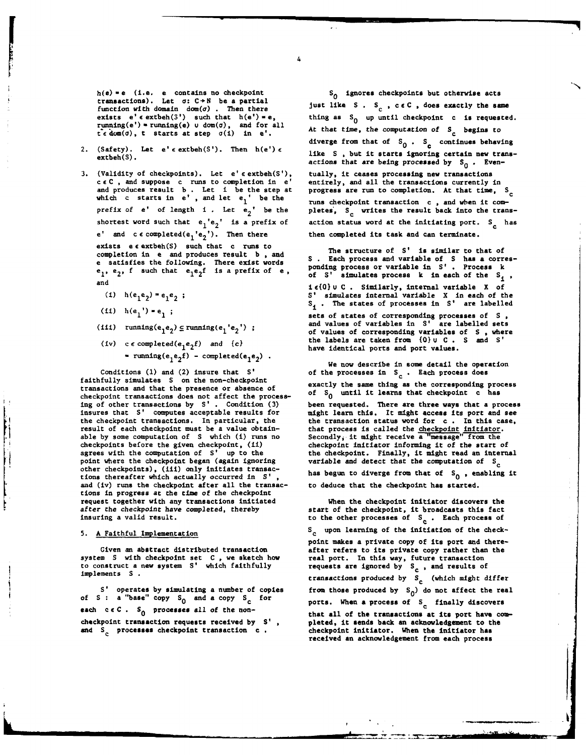function with domain  $dom(a)$ . Then there exists  $e' \in extbeh(S')$  such that  $h(e') = e$ 

**3.** (Validity of checkpoints). Let **e'c** extbeh(S'), tually, it ceases processing new transactions **c eC** , and suppose c runs to completion in e' entirely, and all the transactions currently in

exists **e** e extbeh(S) such that c runs to exists e extrem(5) such that c runs to<br>completion in e and produces result **b**, and **the structure of S'** is similar to that of

- 
- (11)  $h(e_1') = e_1$ ;
- 

 $=$   $\text{running}(e_1e_2f) - \text{completed}(e_1e_2)$ .

insures that **S'** computes acceptable results for might learn this. It might access its port and see result of each checkpoint must be a value obtain-<br>able by some computation of S which (1) runs no Secondly, it might receive a "message" from the able by some computation of S which **(1)** runs no checkpoints before the given checkpoint, **(11)** checkpoints before the given checkpoint, (ii) checkpoint initiator informing it of the start of agrees with the computation of S' up to the the checkpoint. Finally, it might read an intern agrees with the computation of S' up to the the checkpoint. Finally, it might read an internal<br>point where the checkpoint began (again ignoring variable and detect that the computation of S<sub>s</sub> other checkpoints), (iII) only initiates transac- has begun to diverge from that of **So .** enabling it tions thereafter which actually occurred in **S' ,** and (iv) runs the checkpoint after all the transac- to deduce that the checkpoint has started. tions in progress at the time of the checkpoint **request together with any transactions initiated** When the checkpoint initiator discovers the after the checkpoint have completed, thereby start of the checkpoint, it broadcasts this fact

ļ

system *S* with checkpoint set *C*, we sketch how real port. In this way, future transaction to construct a new system *S'* which faithfully requests are ignored by S<sub>C</sub>, and results of to construct a new system S' which faithfully

h(e) = e (i.e. e contains no checkpoint **S<sub>0</sub>** ignores checkpoints but otherwise acts transactions). Let **a: C+N be a** partial **just like S S** , **ceC** , **does exactly the same** thing as S<sub>0</sub> up until checkpoint c is requested. running(e') = running(e) u dom( $\sigma$ ), and for all At that time, the computation of  $S_c$  begins to  $\tilde{c}$  cdom( $\sigma$ ), t starts at step  $\sigma(1)$  in e'. diverge from that of  $S_0$ .  $S_c$  continues behaving 2. (Safety). Let  $e' \in exttbeh(S')$ . Then  $h(e') \in$  like S, but it starts ignoring certain new trans-<br>extbeh(S). actions that are being processed by S<sub>0</sub>. Evenand produces result b. Let i be the step at progress are run to completion. At that time,  $S_c$ <br>which c starts in e', and let e<sub>1</sub>' be the tuns checkpoint transaction c, and when it comwhich c states in  $\epsilon$ , and let  $\epsilon_1$  be the **runs** checkpoint transaction c, and when it comprefix of  $\epsilon'$  of length i. Let  $\epsilon_2'$  be the pletes, S<sub>c</sub> writes the result back into the transshortest word such that  $e_1^{\phantom{1}}e_2^{\phantom{1}}$  is a prefix of action status word at the initiating port. S<sub>c</sub> has  $e'$  and  $c \in \text{complete}(e_1'e_2')$ . Then there then completed its task and can terminate.

S. Each process and variable of S has a corres-<br>ponding process or variable in S'. Process k e satisfies the following. There exist words<br>  $e_1$ ,  $e_2$ , f such that  $e_1e_2$ f is a prefix of e, of S' simulates process **k** in each of the S<sub>1</sub>, and **2** of **2** of **Simulates** process **k in each of the state of the state of the state of the <b>S.** II and  $\mathbf{1} \in \{0\}$  u **C**. Similarly, internal variable X of (1) h(e<sub>1</sub>e<sub>2</sub>) = e<sub>1</sub>e<sub>2</sub>; S' simulates internal variable X in each of the **Si "** The states of processes in **S'** are labelled sets of states of corresponding processes of **S ,** (iii) running( $e_1e_2$ )  $\subseteq$  running( $e_1'e_2'$ ) ; and values of variables in  $\infty$  are labelled sets of  $\infty$ , where and values of variables in S' are labelled sets (iv)  $c \in \text{complete}(e_1e_2f)$  and  $\{c\}$  **the labels are taken from**  $\{0\}$  **u C**. **S** and **S'** have identical ports and port values.

We now describe in some detail the operation Conditions (1) and (2) insure that  $S'$  of the processes in  $S_c$ . Each process does<br>faithfully simulates  $S$  on the non-checkpoint<br>transactions and that the presence or absence of exactly the same thing as the correspondi ing of other transactions **by S' .** Condition **(3)** been requested. There are three ways that a process  $\frac{1}{2}$  wariable and detect that the computation of  $S_c$ 

start of the checkpoint, it broadcasts this fact insuring a valid result. The other processes of  $S_c$ . Each process of  $\overline{S_c}$ 5. A Faithful Implementation **S**<sub>c</sub> upon learning of the initiation of the checkpoint makes a private copy of its port and there-Given an abstract distributed transaction after refers to its private copy rather than the implements S.<br>
transactions produced by S<sub>c</sub> (which might differ S' operates by simulating a number of copies from those produced by  $S_0$  do not affect the real<br>of S: a "base" copy  $S_0$  and a copy  $S_c$  for ports. When a process of  $S_c$  finally discovers<br>each ceC.  $S_0$  processes all checkpoint transaction requests received **by S',** pleted, it sends back an acknowledgement to the and S<sub>c</sub> processes checkpoint transaction c . checkpoint initiator. When the initiator has received an acknowledgement from **each** process

**• , -"- - \_-i- new--]\_**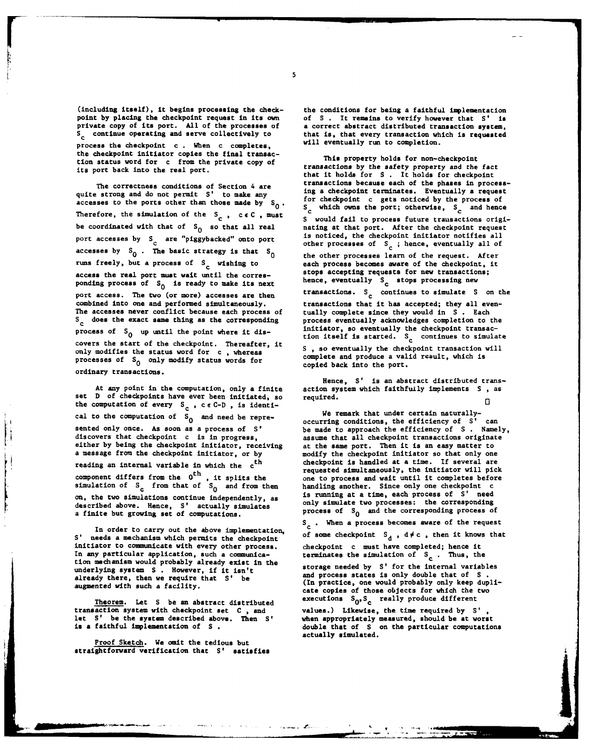(including itself), it begins processing the check- the conditions for being **a** faithful implementation private copy of its port. All of the processes of S<sub>c</sub> continue operating and serve collectively to that is, that every transaction which is requested process the checkpoint c . When c completes, the checkpoint initiator copies the final transac- This property holds for non-checkpoint

The correctness conditions of Section 4 are transactions because each of the phases in process-<br>quite strong and do not permit S' to make any ing a checkpoint terminates. Eventually a request accesses to the ports other than those made by  $S_0$ , for checkpoint c gets noticed by the process of a screened by the process of  $S_c$  which owns the port; otherwise,  $S_c$  and hence Therefore, the simulation of the  $S_c$ ,  $c \in C$ , must<br>  $S$  would fail to process future trausactions origi-<br>
be coordinated with that of  $S_0$  so that all real anting at that port. After the checkpoint request port accesses by **S** are "piggybacked" onto port is noticed, the checkpoint initiator notifies all<br>concesses of S<sub>c</sub>; hence, eventually all of accesses by  $S_0$ . The basic strategy is that  $S_0$  the other processes learn of the request. After runs freely, but a process of S<sub>c</sub> wishing to each process becomes aware of the checkpoint, it access the real port must wait until the corres- stops accepting requests for **new** transactions; ponding process of S<sub>0</sub> is ready to make its next hence, eventually S<sub>c</sub> stops processing new port access. The two (or more) accesses are then **transactions.** S<sub>c</sub> continues to simulate S on the combined into one and performed simultaneously, transactions that it has accepted; they all even-The accesses never conflict because each process of tually complete since they would in **S .** Each S<sub>c</sub> does the exact same thing as the corresponding process eventually acknowledges completion to the notation of the second intitiator, so eventually the checkpoint transacturers of S<sub>c</sub> in intitiator, so eventually the c process of  $S_0$  up until the point where it dis-<br>covers the start of the checkpoint. Thereafter, it<br>covers the start of the checkpoint. Thereafter, it over the status word for c **, whereas is a so eventually the checkpoint transaction will**<br>only modifies the status word for c , whereas complete and produce a valid result, which is processes of **S0** only modify status words for complete and produce a valid result, which is  $\frac{1}{2}$  copied back into the port.<br>ordinary transactions.

At any point in the computation, only a finite set **D** of checkpoints have ever been initiated, so required. the computation of every S<sub>c</sub>, c e C-D, is identi-<br>
We remark that under certain naturally-<br>
We remark that under certain naturallycal to the computation of  $S_0$  and need be repre-<br>  $\begin{array}{ccc}\n&\text{We remark that under certain naturally-}\n\end{array}$  occurring conditions, the efficiency of S' can sented only once. As soon as a process of **S'** be made to approach the efficiency of **S .** Namely, discovers that checkpoint c is in progress, assume that **all** checkpoint transactions originate discovers that checkpoint c is in progress, assume that all checkpoint transactions originate<br>either by being the checkpoint initiator, receiving at the same port. Then it is an easy matter to<br>a message from the checkpoint reading an internal variable in which the  $c<sup>th</sup>$  checkpoint is handled at a time. If several are component differs from the 0<sup>cm</sup>, it splits the one to process and wait until it completes before simulation of S<sub>c</sub> from that of S<sub>O</sub> and from then handling another. Since only one checkpoint c **on,** the two simulations continue independently, **as** is running at a time, each process of **S'** need described above. Hence, S' actually simulates a finite but growing set of computations. process of S<sub>0</sub> and the corresponding process of a finite but growing set of computations.

S' needs a mechanism which permits the checkpoint of some checkpoint  $S_d$ ,  $d \neq c$ , then it knows that initiator to communicate with every other process, checkpoint c must have completed; hence it In any particular application, such a communica-<br>terminates the simulation of **S**<sub>c</sub>. Thus, the tion mechanism would probably already exist in the **cannot allow the contract of the contract** variables underlying system **S** . However, if it isn't already there, then we require that S' be augustus august in the such a facility.<br> **augusting the contract of the such a facility.**<br> **Also also facility** for the such that the support of the such that the support of the such that the support of the support of the

transaction system with checkpoint set **C ,** and values.) Likewise, the time required **by S'** let **S'** be the system described above. Then **S'** when appropriately measured, should be at worst

Proof Sketch. We omit the tedious but straightforward verification that **S'** satisfies of S. It remains to verify however that S' is<br>a correct abstract distributed transaction system.

tion status word for c from the private copy of the private copy of transactions by the safety property and the fact its port back into the real port.<br>that it holds for **S**. It holds for checkpoint nating at that port. After the checkpoint request is noticed, the checkpoint initiator notifies all

> Hence, S' is an abstract distributed trans-<br>action system which faithfully implements S, as п

requested simultaneously, the initiator will pick<br>one to process and wait until it completes before

In order to carry out the above implementation, change of the request In order to carry out the above implementation, change changed and control the sthere the

and process states is only double that of **S**. cate copies of those objects for which the two Theorem. Let **S** be an abstract distributed executions **So, Sc** really produce different

is **a** faithful implementation of **S** *.* double that of **S** on the particular computations actually simulated.

**5**